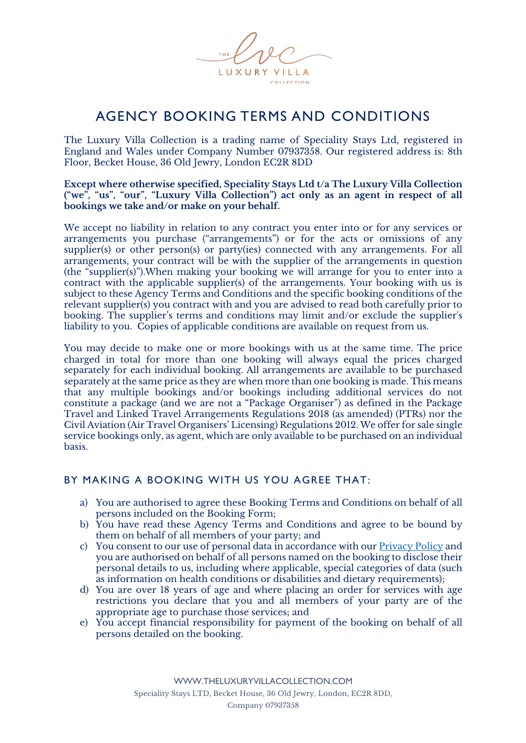

# AGENCY BOOKING TERMS AND CONDITIONS

The Luxury Villa Collection is a trading name of Speciality Stays Ltd, registered in England and Wales under Company Number 07937358. Our registered address is: 8th Floor, Becket House, 36 Old Jewry, London EC2R 8DD

**Except where otherwise specified, Speciality Stays Ltd t/a The Luxury Villa Collection ("we", "us", "our", "Luxury Villa Collection") act only as an agent in respect of all bookings we take and/or make on your behalf.**

We accept no liability in relation to any contract you enter into or for any services or arrangements you purchase ("arrangements") or for the acts or omissions of any supplier(s) or other person(s) or party(ies) connected with any arrangements. For all arrangements, your contract will be with the supplier of the arrangements in question (the "supplier(s)").When making your booking we will arrange for you to enter into a contract with the applicable supplier(s) of the arrangements. Your booking with us is subject to these Agency Terms and Conditions and the specific booking conditions of the relevant supplier(s) you contract with and you are advised to read both carefully prior to booking. The supplier's terms and conditions may limit and/or exclude the supplier's liability to you. Copies of applicable conditions are available on request from us.

You may decide to make one or more bookings with us at the same time. The price charged in total for more than one booking will always equal the prices charged separately for each individual booking. All arrangements are available to be purchased separately at the same price as they are when more than one booking is made. This means that any multiple bookings and/or bookings including additional services do not constitute a package (and we are not a "Package Organiser") as defined in the Package Travel and Linked Travel Arrangements Regulations 2018 (as amended) (PTRs) nor the Civil Aviation (Air Travel Organisers' Licensing) Regulations 2012. We offer for sale single service bookings only, as agent, which are only available to be purchased on an individual basis.

# BY MAKING A BOOKING WITH US YOU AGREE THAT:

- a) You are authorised to agree these Booking Terms and Conditions on behalf of all persons included on the Booking Form;
- b) You have read these Agency Terms and Conditions and agree to be bound by them on behalf of all members of your party; and
- c) You consent to our use of personal data in accordance with our Privacy Policy and you are authorised on behalf of all persons named on the booking to disclose their personal details to us, including where applicable, special categories of data (such as information on health conditions or disabilities and dietary requirements);
- d) You are over 18 years of age and where placing an order for services with age restrictions you declare that you and all members of your party are of the appropriate age to purchase those services; and
- e) You accept financial responsibility for payment of the booking on behalf of all persons detailed on the booking.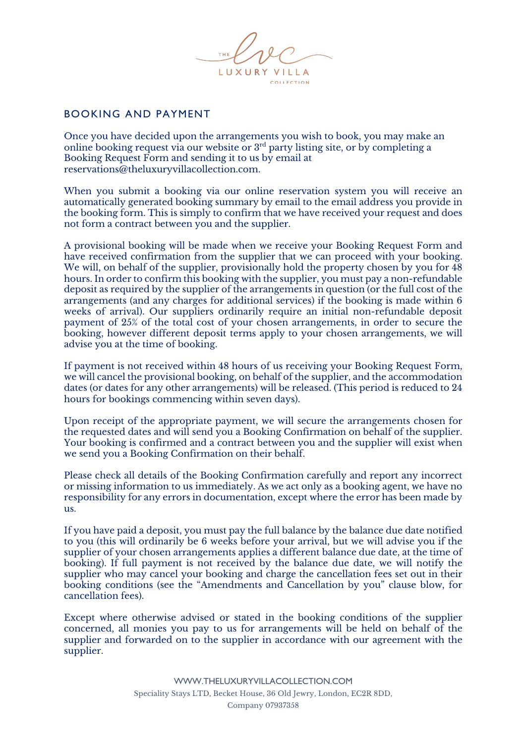

# BOOKING AND PAYMENT

Once you have decided upon the arrangements you wish to book, you may make an online booking request via our website or 3rd party listing site, or by completing a Booking Request Form and sending it to us by email at reservations@theluxuryvillacollection.com.

When you submit a booking via our online reservation system you will receive an automatically generated booking summary by email to the email address you provide in the booking form. This is simply to confirm that we have received your request and does not form a contract between you and the supplier.

A provisional booking will be made when we receive your Booking Request Form and have received confirmation from the supplier that we can proceed with your booking. We will, on behalf of the supplier, provisionally hold the property chosen by you for  $\overline{48}$ hours. In order to confirm this booking with the supplier, you must pay a non-refundable deposit as required by the supplier of the arrangements in question (or the full cost of the arrangements (and any charges for additional services) if the booking is made within 6 weeks of arrival). Our suppliers ordinarily require an initial non-refundable deposit payment of 25% of the total cost of your chosen arrangements, in order to secure the booking, however different deposit terms apply to your chosen arrangements, we will advise you at the time of booking.

If payment is not received within 48 hours of us receiving your Booking Request Form, we will cancel the provisional booking, on behalf of the supplier, and the accommodation dates (or dates for any other arrangements) will be released. (This period is reduced to 24 hours for bookings commencing within seven days).

Upon receipt of the appropriate payment, we will secure the arrangements chosen for the requested dates and will send you a Booking Confirmation on behalf of the supplier. Your booking is confirmed and a contract between you and the supplier will exist when we send you a Booking Confirmation on their behalf.

Please check all details of the Booking Confirmation carefully and report any incorrect or missing information to us immediately. As we act only as a booking agent, we have no responsibility for any errors in documentation, except where the error has been made by us.

If you have paid a deposit, you must pay the full balance by the balance due date notified to you (this will ordinarily be 6 weeks before your arrival, but we will advise you if the supplier of your chosen arrangements applies a different balance due date, at the time of booking). If full payment is not received by the balance due date, we will notify the supplier who may cancel your booking and charge the cancellation fees set out in their booking conditions (see the "Amendments and Cancellation by you" clause blow, for cancellation fees).

Except where otherwise advised or stated in the booking conditions of the supplier concerned, all monies you pay to us for arrangements will be held on behalf of the supplier and forwarded on to the supplier in accordance with our agreement with the supplier.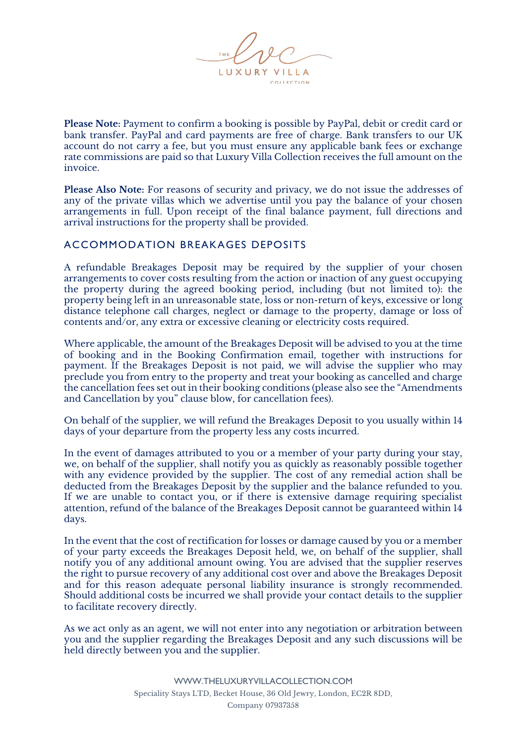

**Please Note:** Payment to confirm a booking is possible by PayPal, debit or credit card or bank transfer. PayPal and card payments are free of charge. Bank transfers to our UK account do not carry a fee, but you must ensure any applicable bank fees or exchange rate commissions are paid so that Luxury Villa Collection receives the full amount on the invoice.

**Please Also Note:** For reasons of security and privacy, we do not issue the addresses of any of the private villas which we advertise until you pay the balance of your chosen arrangements in full. Upon receipt of the final balance payment, full directions and arrival instructions for the property shall be provided.

# ACCOMMODATION BREAKAGES DEPOSITS

A refundable Breakages Deposit may be required by the supplier of your chosen arrangements to cover costs resulting from the action or inaction of any guest occupying the property during the agreed booking period, including (but not limited to): the property being left in an unreasonable state, loss or non-return of keys, excessive or long distance telephone call charges, neglect or damage to the property, damage or loss of contents and/or, any extra or excessive cleaning or electricity costs required.

Where applicable, the amount of the Breakages Deposit will be advised to you at the time of booking and in the Booking Confirmation email, together with instructions for payment. If the Breakages Deposit is not paid, we will advise the supplier who may preclude you from entry to the property and treat your booking as cancelled and charge the cancellation fees set out in their booking conditions (please also see the "Amendments and Cancellation by you" clause blow, for cancellation fees).

On behalf of the supplier, we will refund the Breakages Deposit to you usually within 14 days of your departure from the property less any costs incurred.

In the event of damages attributed to you or a member of your party during your stay, we, on behalf of the supplier, shall notify you as quickly as reasonably possible together with any evidence provided by the supplier. The cost of any remedial action shall be deducted from the Breakages Deposit by the supplier and the balance refunded to you. If we are unable to contact you, or if there is extensive damage requiring specialist attention, refund of the balance of the Breakages Deposit cannot be guaranteed within 14 days.

In the event that the cost of rectification for losses or damage caused by you or a member of your party exceeds the Breakages Deposit held, we, on behalf of the supplier, shall notify you of any additional amount owing. You are advised that the supplier reserves the right to pursue recovery of any additional cost over and above the Breakages Deposit and for this reason adequate personal liability insurance is strongly recommended. Should additional costs be incurred we shall provide your contact details to the supplier to facilitate recovery directly.

As we act only as an agent, we will not enter into any negotiation or arbitration between you and the supplier regarding the Breakages Deposit and any such discussions will be held directly between you and the supplier.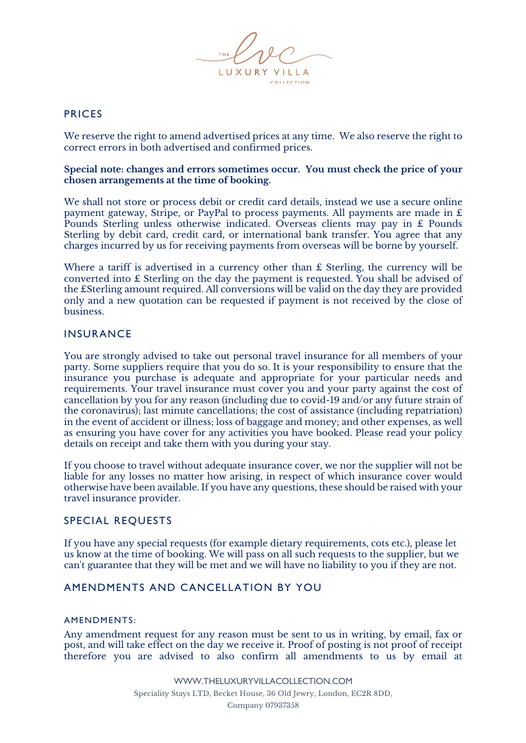

# PRICES

We reserve the right to amend advertised prices at any time. We also reserve the right to correct errors in both advertised and confirmed prices.

#### **Special note: changes and errors sometimes occur. You must check the price of your chosen arrangements at the time of booking.**

We shall not store or process debit or credit card details, instead we use a secure online payment gateway, Stripe, or PayPal to process payments. All payments are made in £ Pounds Sterling unless otherwise indicated. Overseas clients may pay in £ Pounds Sterling by debit card, credit card, or international bank transfer. You agree that any charges incurred by us for receiving payments from overseas will be borne by yourself.

Where a tariff is advertised in a currency other than £ Sterling, the currency will be converted into £ Sterling on the day the payment is requested. You shall be advised of the £Sterling amount required. All conversions will be valid on the day they are provided only and a new quotation can be requested if payment is not received by the close of business.

#### INSURANCE

You are strongly advised to take out personal travel insurance for all members of your party. Some suppliers require that you do so. It is your responsibility to ensure that the insurance you purchase is adequate and appropriate for your particular needs and requirements. Your travel insurance must cover you and your party against the cost of cancellation by you for any reason (including due to covid-19 and/or any future strain of the coronavirus); last minute cancellations; the cost of assistance (including repatriation) in the event of accident or illness; loss of baggage and money; and other expenses, as well as ensuring you have cover for any activities you have booked. Please read your policy details on receipt and take them with you during your stay.

If you choose to travel without adequate insurance cover, we nor the supplier will not be liable for any losses no matter how arising, in respect of which insurance cover would otherwise have been available. If you have any questions, these should be raised with your travel insurance provider.

#### SPECIAL REQUESTS

If you have any special requests (for example dietary requirements, cots etc.), please let us know at the time of booking. We will pass on all such requests to the supplier, but we can't guarantee that they will be met and we will have no liability to you if they are not.

# AMENDMENTS AND CANCELLATION BY YOU

#### AMENDMENTS:

Any amendment request for any reason must be sent to us in writing, by email, fax or post, and will take effect on the day we receive it. Proof of posting is not proof of receipt therefore you are advised to also confirm all amendments to us by email at

> WWW.THELUXURYVILLACOLLECTION.COM Speciality Stays LTD, Becket House, 36 Old Jewry, London, EC2R 8DD, Company 07937358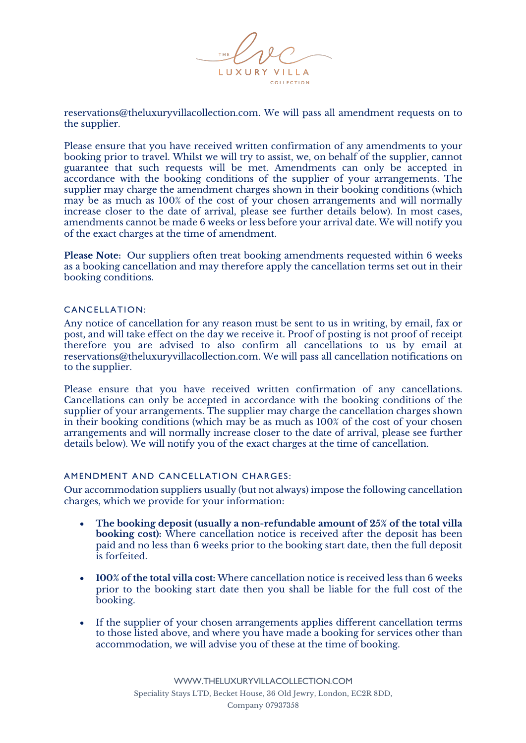

reservations@theluxuryvillacollection.com. We will pass all amendment requests on to the supplier.

Please ensure that you have received written confirmation of any amendments to your booking prior to travel. Whilst we will try to assist, we, on behalf of the supplier, cannot guarantee that such requests will be met. Amendments can only be accepted in accordance with the booking conditions of the supplier of your arrangements. The supplier may charge the amendment charges shown in their booking conditions (which may be as much as 100% of the cost of your chosen arrangements and will normally increase closer to the date of arrival, please see further details below). In most cases, amendments cannot be made 6 weeks or less before your arrival date. We will notify you of the exact charges at the time of amendment.

**Please Note:** Our suppliers often treat booking amendments requested within 6 weeks as a booking cancellation and may therefore apply the cancellation terms set out in their booking conditions.

#### CANCELLATION:

Any notice of cancellation for any reason must be sent to us in writing, by email, fax or post, and will take effect on the day we receive it. Proof of posting is not proof of receipt therefore you are advised to also confirm all cancellations to us by email at reservations@theluxuryvillacollection.com. We will pass all cancellation notifications on to the supplier.

Please ensure that you have received written confirmation of any cancellations. Cancellations can only be accepted in accordance with the booking conditions of the supplier of your arrangements. The supplier may charge the cancellation charges shown in their booking conditions (which may be as much as 100% of the cost of your chosen arrangements and will normally increase closer to the date of arrival, please see further details below). We will notify you of the exact charges at the time of cancellation.

#### AMENDMENT AND CANCELLATION CHARGES:

Our accommodation suppliers usually (but not always) impose the following cancellation charges, which we provide for your information:

- **The booking deposit (usually a non-refundable amount of 25% of the total villa booking cost):** Where cancellation notice is received after the deposit has been paid and no less than 6 weeks prior to the booking start date, then the full deposit is forfeited.
- **100% of the total villa cost:** Where cancellation notice is received less than 6 weeks prior to the booking start date then you shall be liable for the full cost of the booking.
- If the supplier of your chosen arrangements applies different cancellation terms to those listed above, and where you have made a booking for services other than accommodation, we will advise you of these at the time of booking.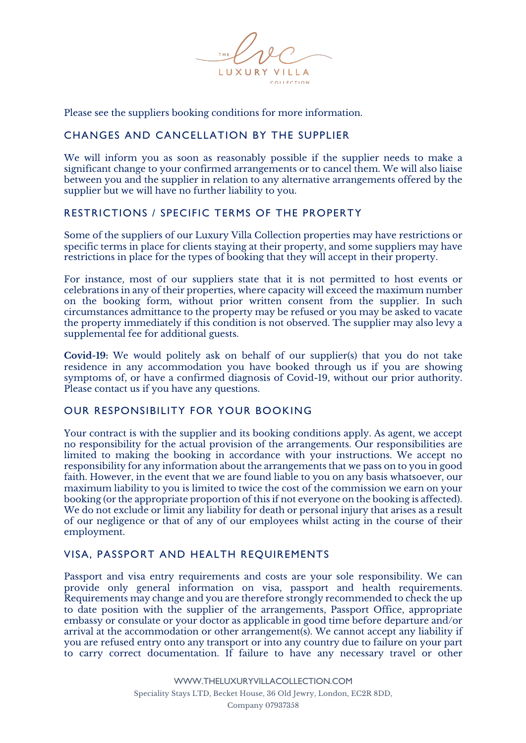

Please see the suppliers booking conditions for more information.

### CHANGES AND CANCELLATION BY THE SUPPLIER

We will inform you as soon as reasonably possible if the supplier needs to make a significant change to your confirmed arrangements or to cancel them. We will also liaise between you and the supplier in relation to any alternative arrangements offered by the supplier but we will have no further liability to you.

# RESTRICTIONS / SPECIFIC TERMS OF THE PROPERTY

Some of the suppliers of our Luxury Villa Collection properties may have restrictions or specific terms in place for clients staying at their property, and some suppliers may have restrictions in place for the types of booking that they will accept in their property.

For instance, most of our suppliers state that it is not permitted to host events or celebrations in any of their properties, where capacity will exceed the maximum number on the booking form, without prior written consent from the supplier. In such circumstances admittance to the property may be refused or you may be asked to vacate the property immediately if this condition is not observed. The supplier may also levy a supplemental fee for additional guests.

**Covid-19:** We would politely ask on behalf of our supplier(s) that you do not take residence in any accommodation you have booked through us if you are showing symptoms of, or have a confirmed diagnosis of Covid-19, without our prior authority. Please contact us if you have any questions.

#### OUR RESPONSIBILITY FOR YOUR BOOKING

Your contract is with the supplier and its booking conditions apply. As agent, we accept no responsibility for the actual provision of the arrangements. Our responsibilities are limited to making the booking in accordance with your instructions. We accept no responsibility for any information about the arrangements that we pass on to you in good faith. However, in the event that we are found liable to you on any basis whatsoever, our maximum liability to you is limited to twice the cost of the commission we earn on your booking (or the appropriate proportion of this if not everyone on the booking is affected). We do not exclude or limit any liability for death or personal injury that arises as a result of our negligence or that of any of our employees whilst acting in the course of their employment.

# VISA, PASSPORT AND HEALTH REQUIREMENTS

Passport and visa entry requirements and costs are your sole responsibility. We can provide only general information on visa, passport and health requirements. Requirements may change and you are therefore strongly recommended to check the up to date position with the supplier of the arrangements, Passport Office, appropriate embassy or consulate or your doctor as applicable in good time before departure and/or arrival at the accommodation or other arrangement(s). We cannot accept any liability if you are refused entry onto any transport or into any country due to failure on your part to carry correct documentation. If failure to have any necessary travel or other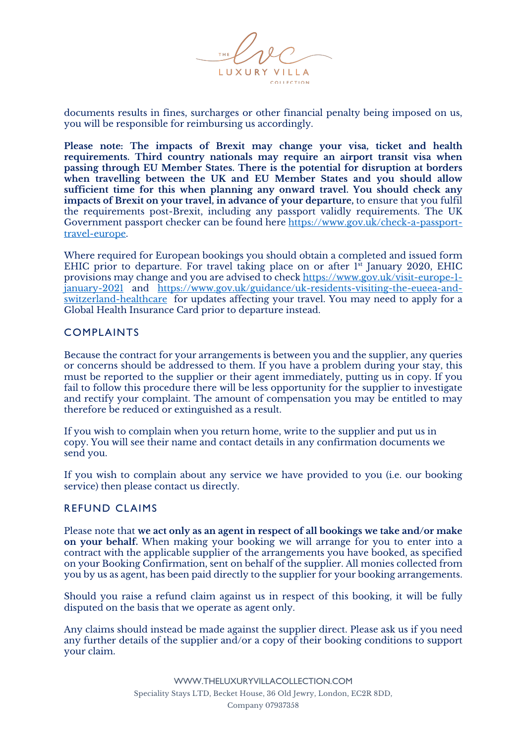

documents results in fines, surcharges or other financial penalty being imposed on us, you will be responsible for reimbursing us accordingly.

**Please note: The impacts of Brexit may change your visa, ticket and health requirements. Third country nationals may require an airport transit visa when passing through EU Member States. There is the potential for disruption at borders when travelling between the UK and EU Member States and you should allow sufficient time for this when planning any onward travel. You should check any impacts of Brexit on your travel, in advance of your departure,** to ensure that you fulfil the requirements post-Brexit, including any passport validly requirements. The UK Government passport checker can be found here https://www.gov.uk/check-a-passporttravel-europe.

Where required for European bookings you should obtain a completed and issued form EHIC prior to departure. For travel taking place on or after 1st January 2020, EHIC provisions may change and you are advised to check https://www.gov.uk/visit-europe-1 january-2021 and https://www.gov.uk/guidance/uk-residents-visiting-the-eueea-andswitzerland-healthcare for updates affecting your travel. You may need to apply for a Global Health Insurance Card prior to departure instead.

#### COMPLAINTS

Because the contract for your arrangements is between you and the supplier, any queries or concerns should be addressed to them. If you have a problem during your stay, this must be reported to the supplier or their agent immediately, putting us in copy. If you fail to follow this procedure there will be less opportunity for the supplier to investigate and rectify your complaint. The amount of compensation you may be entitled to may therefore be reduced or extinguished as a result.

If you wish to complain when you return home, write to the supplier and put us in copy. You will see their name and contact details in any confirmation documents we send you.

If you wish to complain about any service we have provided to you (i.e. our booking service) then please contact us directly.

#### REFUND CLAIMS

Please note that **we act only as an agent in respect of all bookings we take and/or make on your behalf.** When making your booking we will arrange for you to enter into a contract with the applicable supplier of the arrangements you have booked, as specified on your Booking Confirmation, sent on behalf of the supplier. All monies collected from you by us as agent, has been paid directly to the supplier for your booking arrangements.

Should you raise a refund claim against us in respect of this booking, it will be fully disputed on the basis that we operate as agent only.

Any claims should instead be made against the supplier direct. Please ask us if you need any further details of the supplier and/or a copy of their booking conditions to support your claim.

> WWW.THELUXURYVILLACOLLECTION.COM Speciality Stays LTD, Becket House, 36 Old Jewry, London, EC2R 8DD, Company 07937358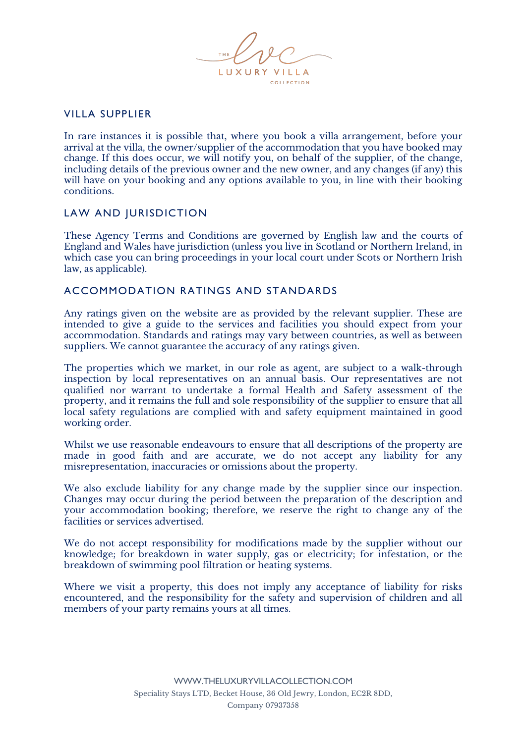LUXURY VILLA **COLLECTION** 

# VILLA SUPPLIER

In rare instances it is possible that, where you book a villa arrangement, before your arrival at the villa, the owner/supplier of the accommodation that you have booked may change. If this does occur, we will notify you, on behalf of the supplier, of the change, including details of the previous owner and the new owner, and any changes (if any) this will have on your booking and any options available to you, in line with their booking conditions.

#### LAW AND JURISDICTION

These Agency Terms and Conditions are governed by English law and the courts of England and Wales have jurisdiction (unless you live in Scotland or Northern Ireland, in which case you can bring proceedings in your local court under Scots or Northern Irish law, as applicable).

#### ACCOMMODATION RATINGS AND STANDARDS

Any ratings given on the website are as provided by the relevant supplier. These are intended to give a guide to the services and facilities you should expect from your accommodation. Standards and ratings may vary between countries, as well as between suppliers. We cannot guarantee the accuracy of any ratings given.

The properties which we market, in our role as agent, are subject to a walk-through inspection by local representatives on an annual basis. Our representatives are not qualified nor warrant to undertake a formal Health and Safety assessment of the property, and it remains the full and sole responsibility of the supplier to ensure that all local safety regulations are complied with and safety equipment maintained in good working order.

Whilst we use reasonable endeavours to ensure that all descriptions of the property are made in good faith and are accurate, we do not accept any liability for any misrepresentation, inaccuracies or omissions about the property.

We also exclude liability for any change made by the supplier since our inspection. Changes may occur during the period between the preparation of the description and your accommodation booking; therefore, we reserve the right to change any of the facilities or services advertised.

We do not accept responsibility for modifications made by the supplier without our knowledge; for breakdown in water supply, gas or electricity; for infestation, or the breakdown of swimming pool filtration or heating systems.

Where we visit a property, this does not imply any acceptance of liability for risks encountered, and the responsibility for the safety and supervision of children and all members of your party remains yours at all times.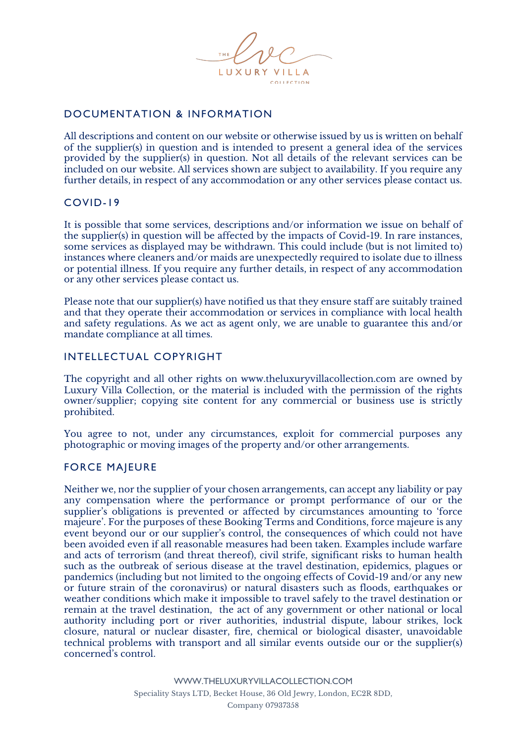

# DOCUMENTATION & INFORMATION

All descriptions and content on our website or otherwise issued by us is written on behalf of the supplier(s) in question and is intended to present a general idea of the services provided by the supplier(s) in question. Not all details of the relevant services can be included on our website. All services shown are subject to availability. If you require any further details, in respect of any accommodation or any other services please contact us.

# COVID-19

It is possible that some services, descriptions and/or information we issue on behalf of the supplier(s) in question will be affected by the impacts of Covid-19. In rare instances, some services as displayed may be withdrawn. This could include (but is not limited to) instances where cleaners and/or maids are unexpectedly required to isolate due to illness or potential illness. If you require any further details, in respect of any accommodation or any other services please contact us.

Please note that our supplier(s) have notified us that they ensure staff are suitably trained and that they operate their accommodation or services in compliance with local health and safety regulations. As we act as agent only, we are unable to guarantee this and/or mandate compliance at all times.

# INTELLECTUAL COPYRIGHT

The copyright and all other rights on www.theluxuryvillacollection.com are owned by Luxury Villa Collection, or the material is included with the permission of the rights owner/supplier; copying site content for any commercial or business use is strictly prohibited.

You agree to not, under any circumstances, exploit for commercial purposes any photographic or moving images of the property and/or other arrangements.

#### FORCE MAJEURE

Neither we, nor the supplier of your chosen arrangements, can accept any liability or pay any compensation where the performance or prompt performance of our or the supplier's obligations is prevented or affected by circumstances amounting to 'force majeure'. For the purposes of these Booking Terms and Conditions, force majeure is any event beyond our or our supplier's control, the consequences of which could not have been avoided even if all reasonable measures had been taken. Examples include warfare and acts of terrorism (and threat thereof), civil strife, significant risks to human health such as the outbreak of serious disease at the travel destination, epidemics, plagues or pandemics (including but not limited to the ongoing effects of Covid-19 and/or any new or future strain of the coronavirus) or natural disasters such as floods, earthquakes or weather conditions which make it impossible to travel safely to the travel destination or remain at the travel destination, the act of any government or other national or local authority including port or river authorities, industrial dispute, labour strikes, lock closure, natural or nuclear disaster, fire, chemical or biological disaster, unavoidable technical problems with transport and all similar events outside our or the supplier(s) concerned's control.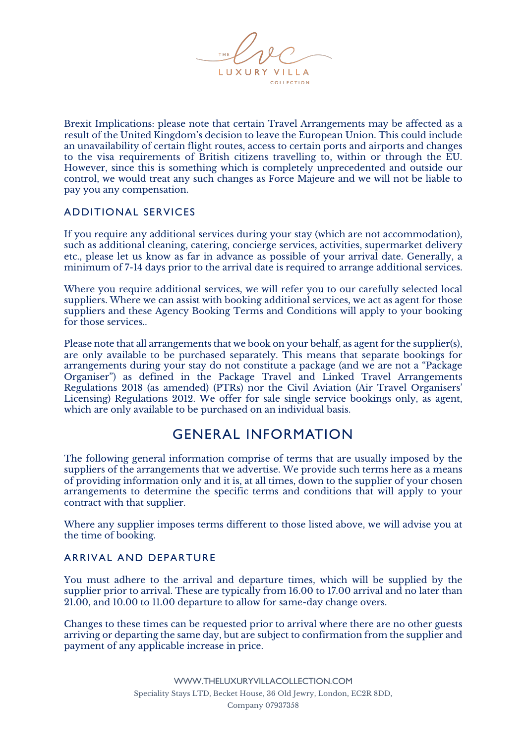

Brexit Implications: please note that certain Travel Arrangements may be affected as a result of the United Kingdom's decision to leave the European Union. This could include an unavailability of certain flight routes, access to certain ports and airports and changes to the visa requirements of British citizens travelling to, within or through the EU. However, since this is something which is completely unprecedented and outside our control, we would treat any such changes as Force Majeure and we will not be liable to pay you any compensation.

# ADDITIONAL SERVICES

If you require any additional services during your stay (which are not accommodation), such as additional cleaning, catering, concierge services, activities, supermarket delivery etc., please let us know as far in advance as possible of your arrival date. Generally, a minimum of 7-14 days prior to the arrival date is required to arrange additional services.

Where you require additional services, we will refer you to our carefully selected local suppliers. Where we can assist with booking additional services, we act as agent for those suppliers and these Agency Booking Terms and Conditions will apply to your booking for those services..

Please note that all arrangements that we book on your behalf, as agent for the supplier(s), are only available to be purchased separately. This means that separate bookings for arrangements during your stay do not constitute a package (and we are not a "Package Organiser") as defined in the Package Travel and Linked Travel Arrangements Regulations 2018 (as amended) (PTRs) nor the Civil Aviation (Air Travel Organisers' Licensing) Regulations 2012. We offer for sale single service bookings only, as agent, which are only available to be purchased on an individual basis.

# GENERAL INFORMATION

The following general information comprise of terms that are usually imposed by the suppliers of the arrangements that we advertise. We provide such terms here as a means of providing information only and it is, at all times, down to the supplier of your chosen arrangements to determine the specific terms and conditions that will apply to your contract with that supplier.

Where any supplier imposes terms different to those listed above, we will advise you at the time of booking.

# ARRIVAL AND DEPARTURE

You must adhere to the arrival and departure times, which will be supplied by the supplier prior to arrival. These are typically from 16.00 to 17.00 arrival and no later than 21.00, and 10.00 to 11.00 departure to allow for same-day change overs.

Changes to these times can be requested prior to arrival where there are no other guests arriving or departing the same day, but are subject to confirmation from the supplier and payment of any applicable increase in price.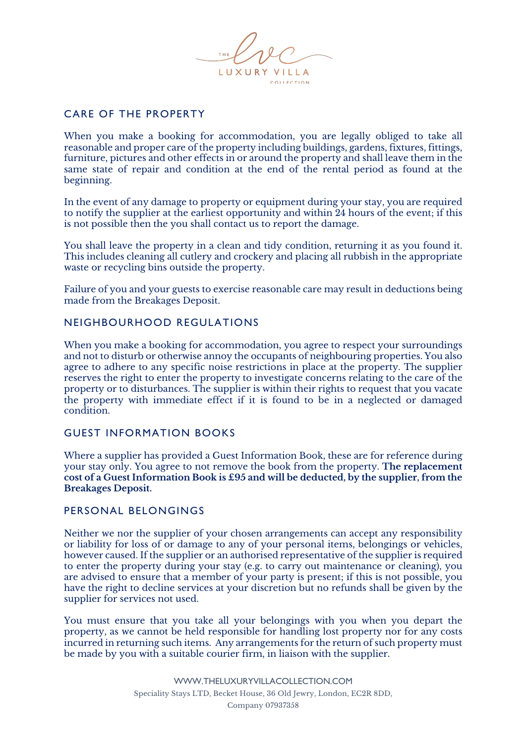

# CARE OF THE PROPERTY

When you make a booking for accommodation, you are legally obliged to take all reasonable and proper care of the property including buildings, gardens, fixtures, fittings, furniture, pictures and other effects in or around the property and shall leave them in the same state of repair and condition at the end of the rental period as found at the beginning.

In the event of any damage to property or equipment during your stay, you are required to notify the supplier at the earliest opportunity and within 24 hours of the event; if this is not possible then the you shall contact us to report the damage.

You shall leave the property in a clean and tidy condition, returning it as you found it. This includes cleaning all cutlery and crockery and placing all rubbish in the appropriate waste or recycling bins outside the property.

Failure of you and your guests to exercise reasonable care may result in deductions being made from the Breakages Deposit.

# NEIGHBOURHOOD REGULATIONS

When you make a booking for accommodation, you agree to respect your surroundings and not to disturb or otherwise annoy the occupants of neighbouring properties. You also agree to adhere to any specific noise restrictions in place at the property. The supplier reserves the right to enter the property to investigate concerns relating to the care of the property or to disturbances. The supplier is within their rights to request that you vacate the property with immediate effect if it is found to be in a neglected or damaged condition.

# GUEST INFORMATION BOOKS

Where a supplier has provided a Guest Information Book, these are for reference during your stay only. You agree to not remove the book from the property. **The replacement cost of a Guest Information Book is £95 and will be deducted, by the supplier, from the Breakages Deposit.**

#### PERSONAL BELONGINGS

Neither we nor the supplier of your chosen arrangements can accept any responsibility or liability for loss of or damage to any of your personal items, belongings or vehicles, however caused. If the supplier or an authorised representative of the supplier is required to enter the property during your stay (e.g. to carry out maintenance or cleaning), you are advised to ensure that a member of your party is present; if this is not possible, you have the right to decline services at your discretion but no refunds shall be given by the supplier for services not used.

You must ensure that you take all your belongings with you when you depart the property, as we cannot be held responsible for handling lost property nor for any costs incurred in returning such items. Any arrangements for the return of such property must be made by you with a suitable courier firm, in liaison with the supplier.

> WWW.THELUXURYVILLACOLLECTION.COM Speciality Stays LTD, Becket House, 36 Old Jewry, London, EC2R 8DD, Company 07937358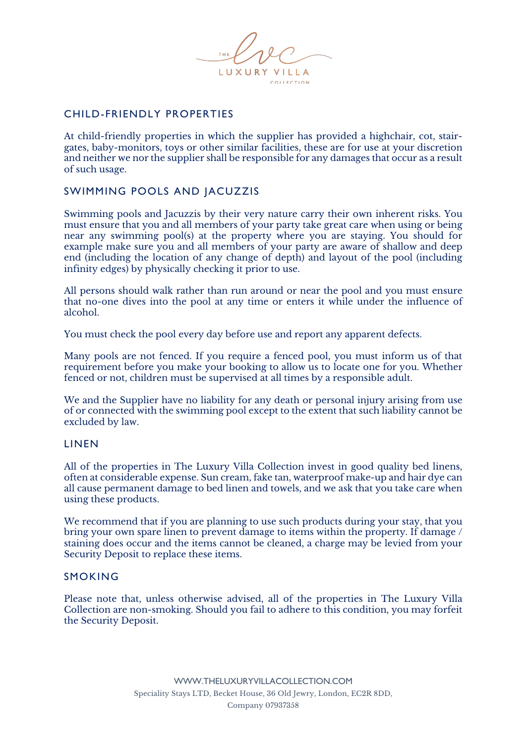LUXURY VILLA **COLLECTION** 

# CHILD-FRIENDLY PROPERTIES

At child-friendly properties in which the supplier has provided a highchair, cot, stairgates, baby-monitors, toys or other similar facilities, these are for use at your discretion and neither we nor the supplier shall be responsible for any damages that occur as a result of such usage.

# SWIMMING POOLS AND JACUZZIS

Swimming pools and Jacuzzis by their very nature carry their own inherent risks. You must ensure that you and all members of your party take great care when using or being near any swimming pool(s) at the property where you are staying. You should for example make sure you and all members of your party are aware of shallow and deep end (including the location of any change of depth) and layout of the pool (including infinity edges) by physically checking it prior to use.

All persons should walk rather than run around or near the pool and you must ensure that no-one dives into the pool at any time or enters it while under the influence of alcohol.

You must check the pool every day before use and report any apparent defects.

Many pools are not fenced. If you require a fenced pool, you must inform us of that requirement before you make your booking to allow us to locate one for you. Whether fenced or not, children must be supervised at all times by a responsible adult.

We and the Supplier have no liability for any death or personal injury arising from use of or connected with the swimming pool except to the extent that such liability cannot be excluded by law.

#### LINEN

All of the properties in The Luxury Villa Collection invest in good quality bed linens, often at considerable expense. Sun cream, fake tan, waterproof make-up and hair dye can all cause permanent damage to bed linen and towels, and we ask that you take care when using these products.

We recommend that if you are planning to use such products during your stay, that you bring your own spare linen to prevent damage to items within the property. If damage / staining does occur and the items cannot be cleaned, a charge may be levied from your Security Deposit to replace these items.

#### SMOKING

Please note that, unless otherwise advised, all of the properties in The Luxury Villa Collection are non-smoking. Should you fail to adhere to this condition, you may forfeit the Security Deposit.